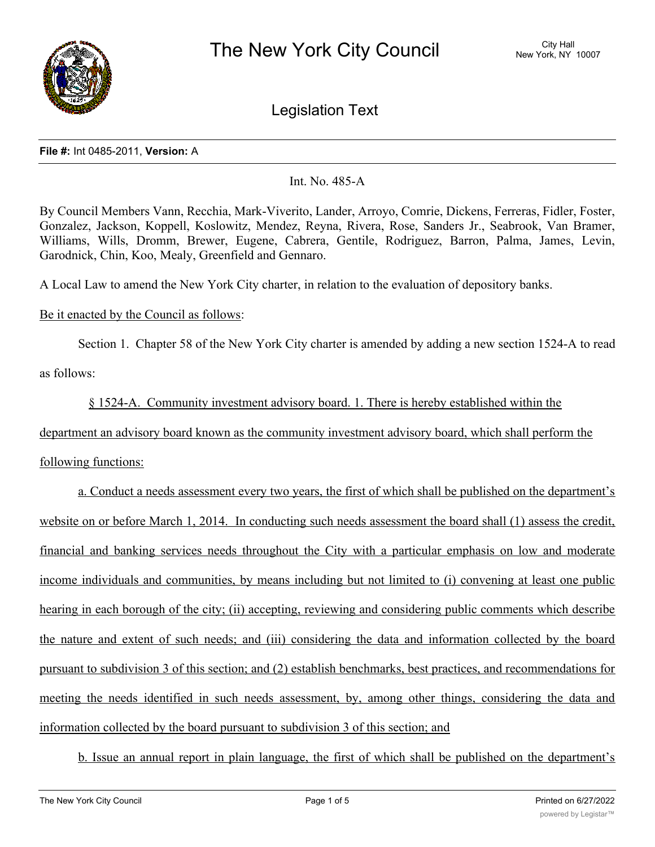

Legislation Text

#### **File #:** Int 0485-2011, **Version:** A

## Int. No. 485-A

By Council Members Vann, Recchia, Mark-Viverito, Lander, Arroyo, Comrie, Dickens, Ferreras, Fidler, Foster, Gonzalez, Jackson, Koppell, Koslowitz, Mendez, Reyna, Rivera, Rose, Sanders Jr., Seabrook, Van Bramer, Williams, Wills, Dromm, Brewer, Eugene, Cabrera, Gentile, Rodriguez, Barron, Palma, James, Levin, Garodnick, Chin, Koo, Mealy, Greenfield and Gennaro.

A Local Law to amend the New York City charter, in relation to the evaluation of depository banks.

# Be it enacted by the Council as follows:

Section 1. Chapter 58 of the New York City charter is amended by adding a new section 1524-A to read

as follows:

§ 1524-A. Community investment advisory board. 1. There is hereby established within the

department an advisory board known as the community investment advisory board, which shall perform the

following functions:

a. Conduct a needs assessment every two years, the first of which shall be published on the department's website on or before March 1, 2014. In conducting such needs assessment the board shall (1) assess the credit, financial and banking services needs throughout the City with a particular emphasis on low and moderate income individuals and communities, by means including but not limited to (i) convening at least one public hearing in each borough of the city; (ii) accepting, reviewing and considering public comments which describe the nature and extent of such needs; and (iii) considering the data and information collected by the board pursuant to subdivision 3 of this section; and (2) establish benchmarks, best practices, and recommendations for meeting the needs identified in such needs assessment, by, among other things, considering the data and information collected by the board pursuant to subdivision 3 of this section; and

b. Issue an annual report in plain language, the first of which shall be published on the department's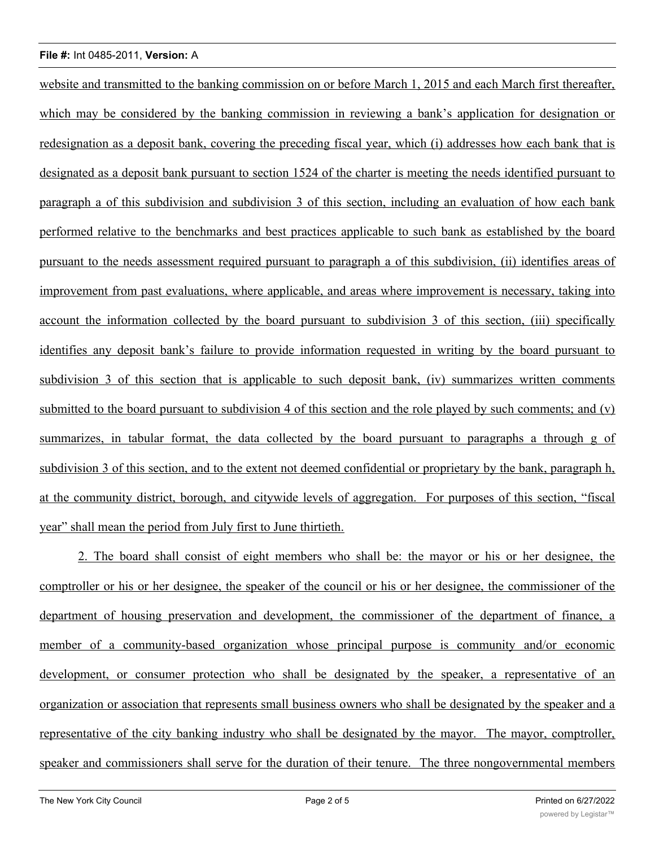## **File #:** Int 0485-2011, **Version:** A

website and transmitted to the banking commission on or before March 1, 2015 and each March first thereafter, which may be considered by the banking commission in reviewing a bank's application for designation or redesignation as a deposit bank, covering the preceding fiscal year, which (i) addresses how each bank that is designated as a deposit bank pursuant to section 1524 of the charter is meeting the needs identified pursuant to paragraph a of this subdivision and subdivision 3 of this section, including an evaluation of how each bank performed relative to the benchmarks and best practices applicable to such bank as established by the board pursuant to the needs assessment required pursuant to paragraph a of this subdivision, (ii) identifies areas of improvement from past evaluations, where applicable, and areas where improvement is necessary, taking into account the information collected by the board pursuant to subdivision 3 of this section, (iii) specifically identifies any deposit bank's failure to provide information requested in writing by the board pursuant to subdivision 3 of this section that is applicable to such deposit bank, (iv) summarizes written comments submitted to the board pursuant to subdivision 4 of this section and the role played by such comments; and (v) summarizes, in tabular format, the data collected by the board pursuant to paragraphs a through g of subdivision 3 of this section, and to the extent not deemed confidential or proprietary by the bank, paragraph h, at the community district, borough, and citywide levels of aggregation. For purposes of this section, "fiscal year" shall mean the period from July first to June thirtieth.

2. The board shall consist of eight members who shall be: the mayor or his or her designee, the comptroller or his or her designee, the speaker of the council or his or her designee, the commissioner of the department of housing preservation and development, the commissioner of the department of finance, a member of a community-based organization whose principal purpose is community and/or economic development, or consumer protection who shall be designated by the speaker, a representative of an organization or association that represents small business owners who shall be designated by the speaker and a representative of the city banking industry who shall be designated by the mayor. The mayor, comptroller, speaker and commissioners shall serve for the duration of their tenure. The three nongovernmental members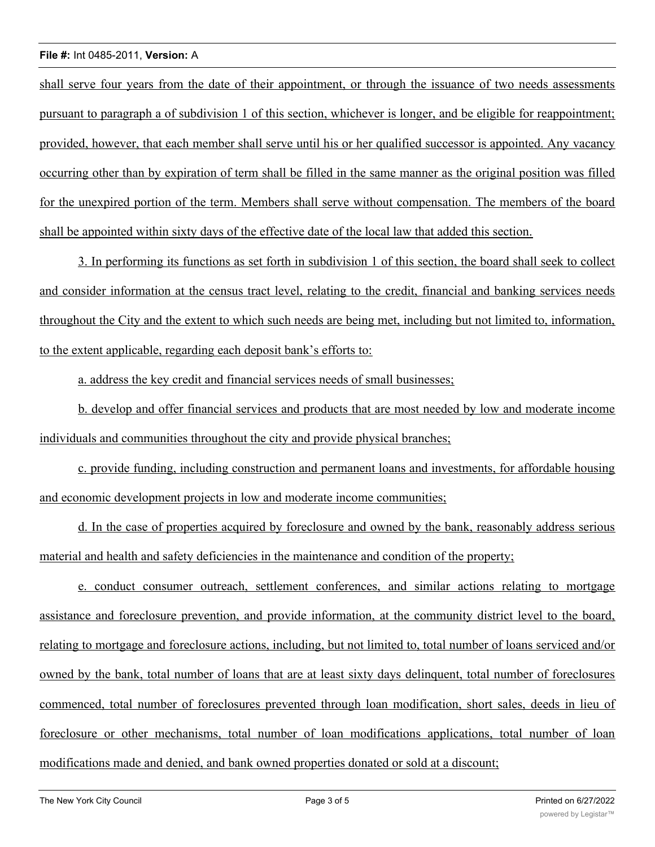## **File #:** Int 0485-2011, **Version:** A

shall serve four years from the date of their appointment, or through the issuance of two needs assessments pursuant to paragraph a of subdivision 1 of this section, whichever is longer, and be eligible for reappointment; provided, however, that each member shall serve until his or her qualified successor is appointed. Any vacancy occurring other than by expiration of term shall be filled in the same manner as the original position was filled for the unexpired portion of the term. Members shall serve without compensation. The members of the board shall be appointed within sixty days of the effective date of the local law that added this section.

3. In performing its functions as set forth in subdivision 1 of this section, the board shall seek to collect and consider information at the census tract level, relating to the credit, financial and banking services needs throughout the City and the extent to which such needs are being met, including but not limited to, information, to the extent applicable, regarding each deposit bank's efforts to:

a. address the key credit and financial services needs of small businesses;

b. develop and offer financial services and products that are most needed by low and moderate income individuals and communities throughout the city and provide physical branches;

c. provide funding, including construction and permanent loans and investments, for affordable housing and economic development projects in low and moderate income communities;

d. In the case of properties acquired by foreclosure and owned by the bank, reasonably address serious material and health and safety deficiencies in the maintenance and condition of the property;

e. conduct consumer outreach, settlement conferences, and similar actions relating to mortgage assistance and foreclosure prevention, and provide information, at the community district level to the board, relating to mortgage and foreclosure actions, including, but not limited to, total number of loans serviced and/or owned by the bank, total number of loans that are at least sixty days delinquent, total number of foreclosures commenced, total number of foreclosures prevented through loan modification, short sales, deeds in lieu of foreclosure or other mechanisms, total number of loan modifications applications, total number of loan modifications made and denied, and bank owned properties donated or sold at a discount;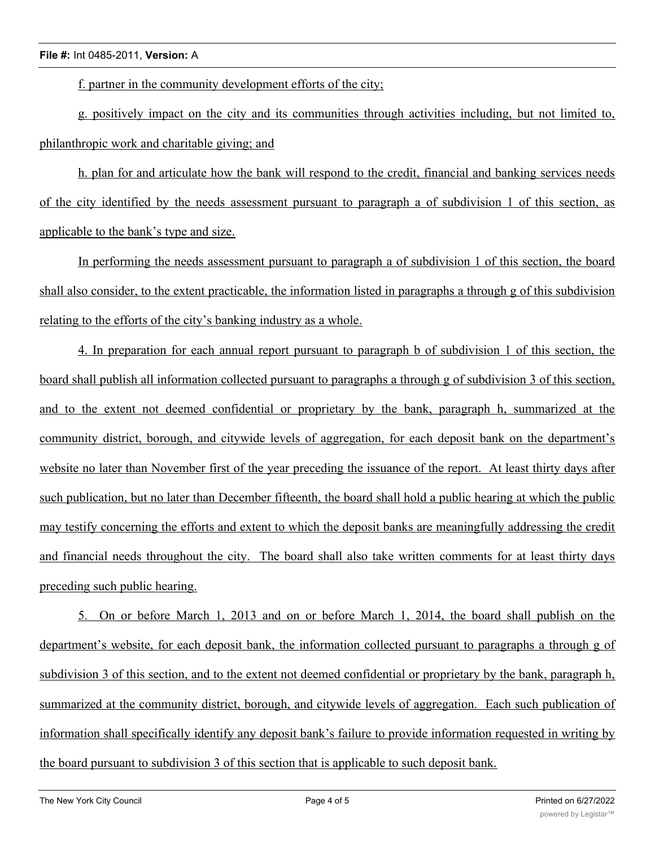f. partner in the community development efforts of the city;

g. positively impact on the city and its communities through activities including, but not limited to, philanthropic work and charitable giving; and

h. plan for and articulate how the bank will respond to the credit, financial and banking services needs of the city identified by the needs assessment pursuant to paragraph a of subdivision 1 of this section, as applicable to the bank's type and size.

In performing the needs assessment pursuant to paragraph a of subdivision 1 of this section, the board shall also consider, to the extent practicable, the information listed in paragraphs a through g of this subdivision relating to the efforts of the city's banking industry as a whole.

4. In preparation for each annual report pursuant to paragraph b of subdivision 1 of this section, the board shall publish all information collected pursuant to paragraphs a through g of subdivision 3 of this section, and to the extent not deemed confidential or proprietary by the bank, paragraph h, summarized at the community district, borough, and citywide levels of aggregation, for each deposit bank on the department's website no later than November first of the year preceding the issuance of the report. At least thirty days after such publication, but no later than December fifteenth, the board shall hold a public hearing at which the public may testify concerning the efforts and extent to which the deposit banks are meaningfully addressing the credit and financial needs throughout the city. The board shall also take written comments for at least thirty days preceding such public hearing.

5. On or before March 1, 2013 and on or before March 1, 2014, the board shall publish on the department's website, for each deposit bank, the information collected pursuant to paragraphs a through g of subdivision 3 of this section, and to the extent not deemed confidential or proprietary by the bank, paragraph h, summarized at the community district, borough, and citywide levels of aggregation. Each such publication of information shall specifically identify any deposit bank's failure to provide information requested in writing by the board pursuant to subdivision 3 of this section that is applicable to such deposit bank.